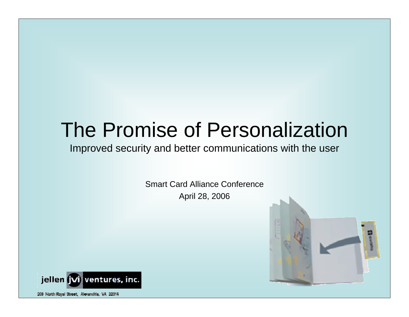### The Promise of Personalization

#### Improved security and better communic ations with the user

Smart Card Alliance ConferenceApril 28, 2006



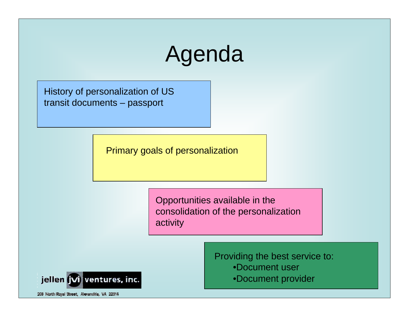# Agenda

History of personalization of US transit documents – passport

Primary goals of personalization

Opportunities available in the consolidation of the personalization activity



Providing the best service to:

- •Document user
- •Document provider

206 North Royal Street, Alexandria, VA 22314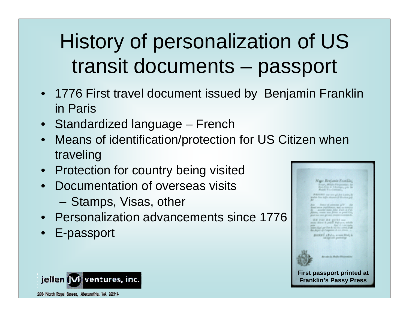# History of personalization of US transit documents – passport

- 1776 First travel document issued by Benjamin Franklin in Paris
- Standardized language French
- •Means of identification/protection for US Citizen when traveling
- Protection for country being visited
- •Documentation of overseas visits
	- Stamps, Visas, other
- •Personalization advancements since 1776
- E-passport



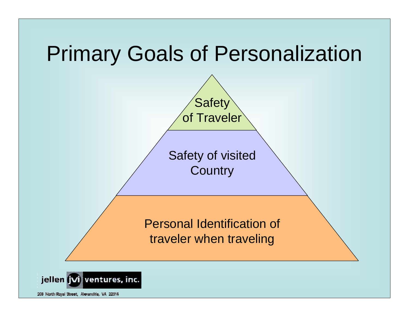## Primary Goals of Personalization



**Safety** 

Safety of visited **Country** 

Personal Identification of traveler when traveling

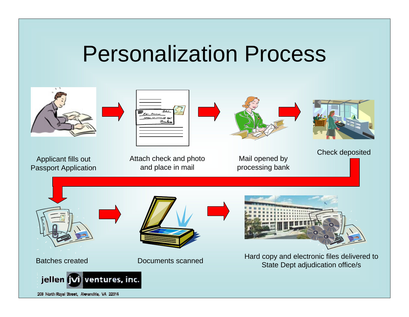## Personalization Process

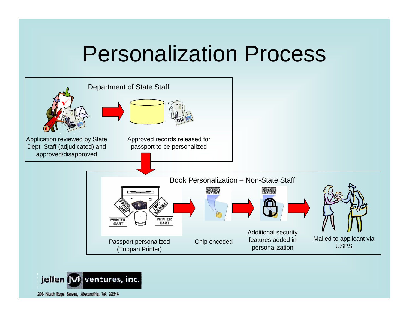## Personalization Process



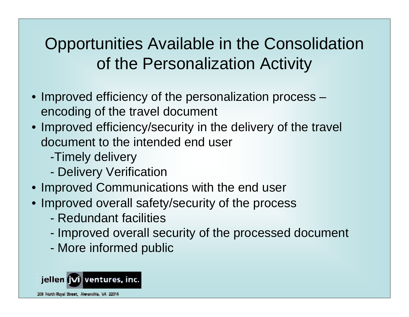#### Opportunities Available in the Consolidation of the Personalization Activity

- Improved efficiency of the personalization process encoding of the travel document
- Improved efficiency/security in the delivery of the travel document to the intended end user
	- -Timely delivery
	- Delivery Verification
- Improved Communications with the end user
- Improved overall safety/security of the process
	- -Redundant facilities
	- -- Improved overall security of the processed document
	- More informed public

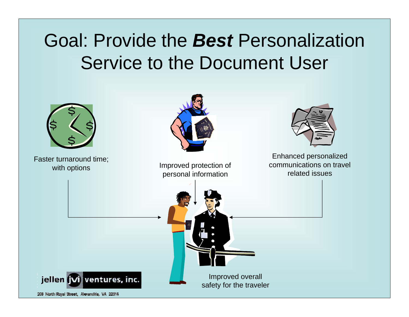#### Goal: Provide the *Best* Personalization Service to the Document User

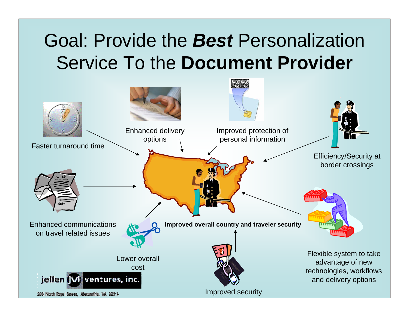#### Goal: Provide the *Best* Personalization Service To the **Document Provider**

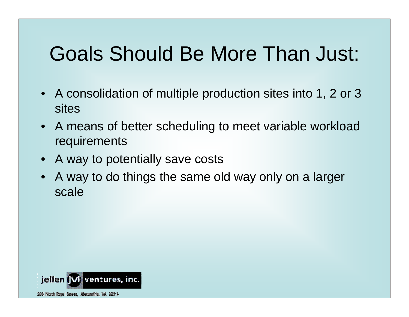# Goals Should Be More Than Just:

- A consolidation of multiple production sites into 1, 2 or 3 sites
- A means of better scheduling to meet variable workload requirements
- A way to potentially save costs
- •A way to do things the same old way only on a larger scale